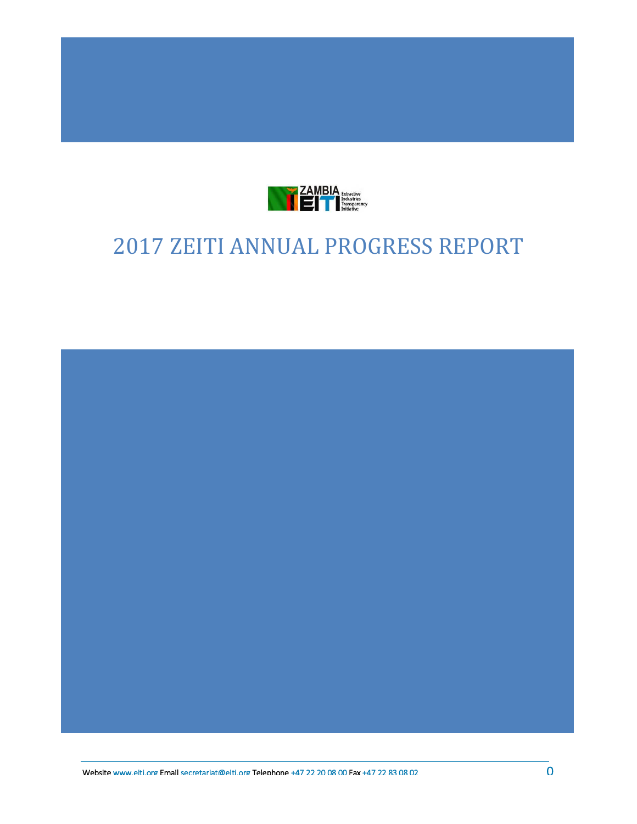

*This note has been issued by the EITI International Secretariat to provide guidance to implementing countries on* 

# 2017 ZEITI ANNUAL PROGRESS REPORT

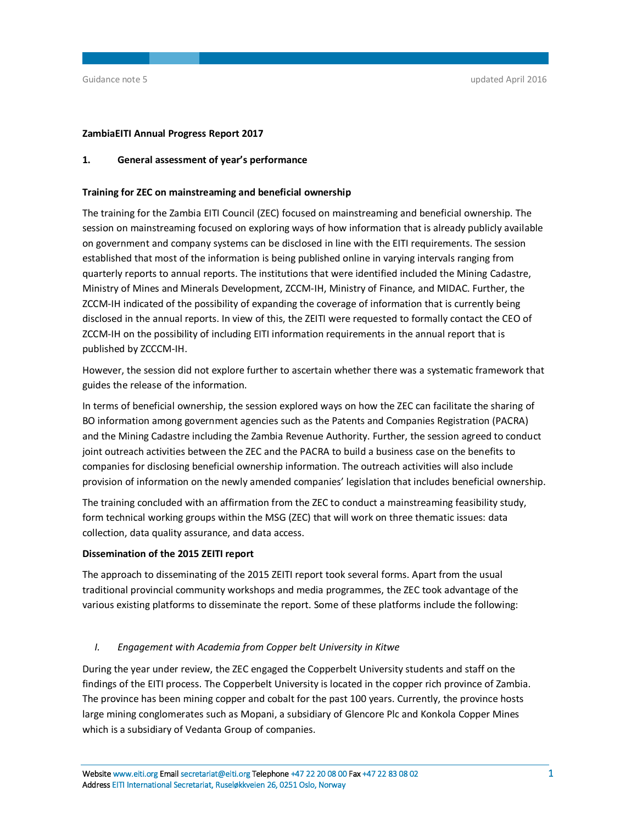## **ZambiaEITI Annual Progress Report 2017**

## **1. General assessment of year's performance**

## **Training for ZEC on mainstreaming and beneficial ownership**

The training for the Zambia EITI Council (ZEC) focused on mainstreaming and beneficial ownership. The session on mainstreaming focused on exploring ways of how information that is already publicly available on government and company systems can be disclosed in line with the EITI requirements. The session established that most of the information is being published online in varying intervals ranging from quarterly reports to annual reports. The institutions that were identified included the Mining Cadastre, Ministry of Mines and Minerals Development, ZCCM-IH, Ministry of Finance, and MIDAC. Further, the ZCCM-IH indicated of the possibility of expanding the coverage of information that is currently being disclosed in the annual reports. In view of this, the ZEITI were requested to formally contact the CEO of ZCCM-IH on the possibility of including EITI information requirements in the annual report that is published by ZCCCM-IH.

However, the session did not explore further to ascertain whether there was a systematic framework that guides the release of the information.

In terms of beneficial ownership, the session explored ways on how the ZEC can facilitate the sharing of BO information among government agencies such as the Patents and Companies Registration (PACRA) and the Mining Cadastre including the Zambia Revenue Authority. Further, the session agreed to conduct joint outreach activities between the ZEC and the PACRA to build a business case on the benefits to companies for disclosing beneficial ownership information. The outreach activities will also include provision of information on the newly amended companies' legislation that includes beneficial ownership.

The training concluded with an affirmation from the ZEC to conduct a mainstreaming feasibility study, form technical working groups within the MSG (ZEC) that will work on three thematic issues: data collection, data quality assurance, and data access.

## **Dissemination of the 2015 ZEITI report**

The approach to disseminating of the 2015 ZEITI report took several forms. Apart from the usual traditional provincial community workshops and media programmes, the ZEC took advantage of the various existing platforms to disseminate the report. Some of these platforms include the following:

## *I. Engagement with Academia from Copper belt University in Kitwe*

During the year under review, the ZEC engaged the Copperbelt University students and staff on the findings of the EITI process. The Copperbelt University is located in the copper rich province of Zambia. The province has been mining copper and cobalt for the past 100 years. Currently, the province hosts large mining conglomerates such as Mopani, a subsidiary of Glencore Plc and Konkola Copper Mines which is a subsidiary of Vedanta Group of companies.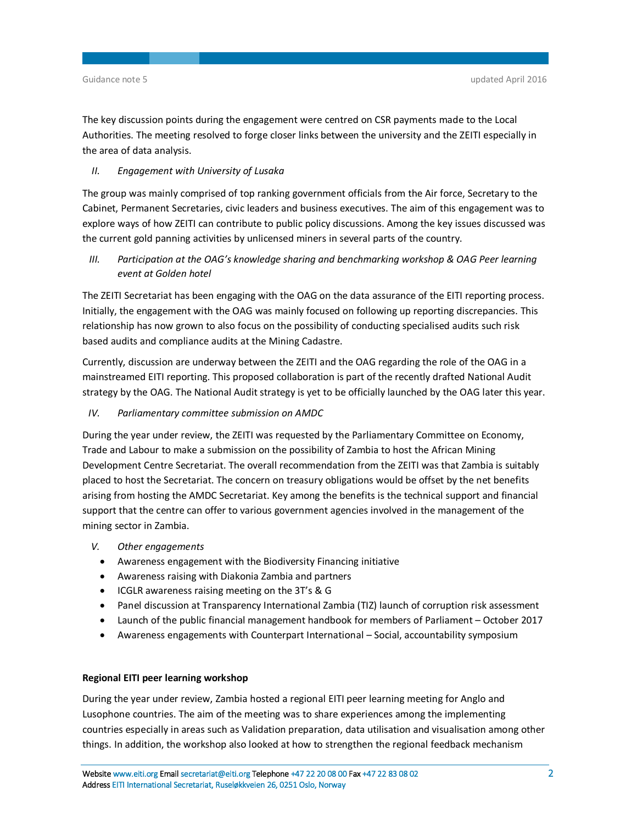The key discussion points during the engagement were centred on CSR payments made to the Local Authorities. The meeting resolved to forge closer links between the university and the ZEITI especially in the area of data analysis.

## *II. Engagement with University of Lusaka*

The group was mainly comprised of top ranking government officials from the Air force, Secretary to the Cabinet, Permanent Secretaries, civic leaders and business executives. The aim of this engagement was to explore ways of how ZEITI can contribute to public policy discussions. Among the key issues discussed was the current gold panning activities by unlicensed miners in several parts of the country.

*III. Participation at the OAG's knowledge sharing and benchmarking workshop & OAG Peer learning event at Golden hotel* 

The ZEITI Secretariat has been engaging with the OAG on the data assurance of the EITI reporting process. Initially, the engagement with the OAG was mainly focused on following up reporting discrepancies. This relationship has now grown to also focus on the possibility of conducting specialised audits such risk based audits and compliance audits at the Mining Cadastre.

Currently, discussion are underway between the ZEITI and the OAG regarding the role of the OAG in a mainstreamed EITI reporting. This proposed collaboration is part of the recently drafted National Audit strategy by the OAG. The National Audit strategy is yet to be officially launched by the OAG later this year.

## *IV. Parliamentary committee submission on AMDC*

During the year under review, the ZEITI was requested by the Parliamentary Committee on Economy, Trade and Labour to make a submission on the possibility of Zambia to host the African Mining Development Centre Secretariat. The overall recommendation from the ZEITI was that Zambia is suitably placed to host the Secretariat. The concern on treasury obligations would be offset by the net benefits arising from hosting the AMDC Secretariat. Key among the benefits is the technical support and financial support that the centre can offer to various government agencies involved in the management of the mining sector in Zambia.

- *V. Other engagements* 
	- Awareness engagement with the Biodiversity Financing initiative
	- Awareness raising with Diakonia Zambia and partners
	- ICGLR awareness raising meeting on the 3T's & G
	- Panel discussion at Transparency International Zambia (TIZ) launch of corruption risk assessment
	- Launch of the public financial management handbook for members of Parliament October 2017
	- Awareness engagements with Counterpart International Social, accountability symposium

## **Regional EITI peer learning workshop**

During the year under review, Zambia hosted a regional EITI peer learning meeting for Anglo and Lusophone countries. The aim of the meeting was to share experiences among the implementing countries especially in areas such as Validation preparation, data utilisation and visualisation among other things. In addition, the workshop also looked at how to strengthen the regional feedback mechanism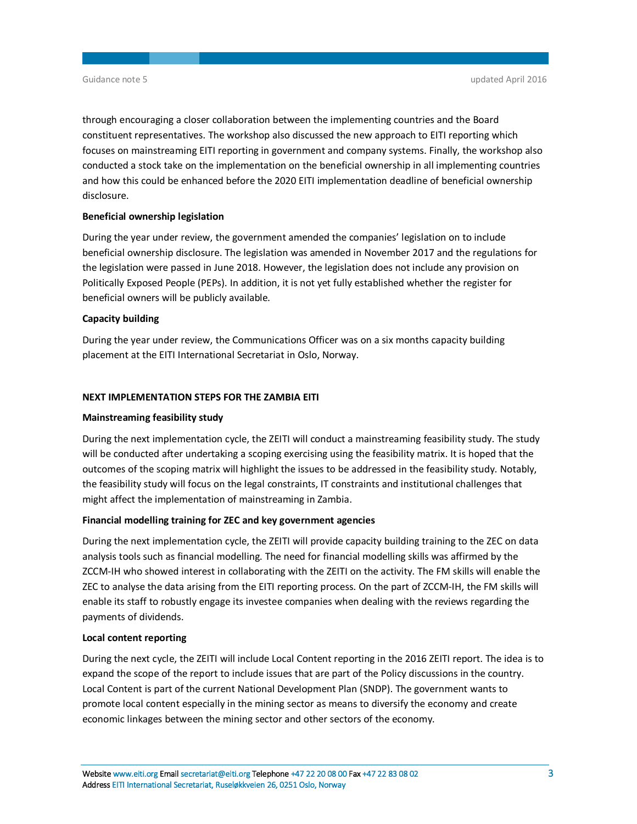through encouraging a closer collaboration between the implementing countries and the Board constituent representatives. The workshop also discussed the new approach to EITI reporting which focuses on mainstreaming EITI reporting in government and company systems. Finally, the workshop also conducted a stock take on the implementation on the beneficial ownership in all implementing countries and how this could be enhanced before the 2020 EITI implementation deadline of beneficial ownership disclosure.

## **Beneficial ownership legislation**

During the year under review, the government amended the companies' legislation on to include beneficial ownership disclosure. The legislation was amended in November 2017 and the regulations for the legislation were passed in June 2018. However, the legislation does not include any provision on Politically Exposed People (PEPs). In addition, it is not yet fully established whether the register for beneficial owners will be publicly available.

## **Capacity building**

During the year under review, the Communications Officer was on a six months capacity building placement at the EITI International Secretariat in Oslo, Norway.

## **NEXT IMPLEMENTATION STEPS FOR THE ZAMBIA EITI**

#### **Mainstreaming feasibility study**

During the next implementation cycle, the ZEITI will conduct a mainstreaming feasibility study. The study will be conducted after undertaking a scoping exercising using the feasibility matrix. It is hoped that the outcomes of the scoping matrix will highlight the issues to be addressed in the feasibility study. Notably, the feasibility study will focus on the legal constraints, IT constraints and institutional challenges that might affect the implementation of mainstreaming in Zambia.

## **Financial modelling training for ZEC and key government agencies**

During the next implementation cycle, the ZEITI will provide capacity building training to the ZEC on data analysis tools such as financial modelling. The need for financial modelling skills was affirmed by the ZCCM-IH who showed interest in collaborating with the ZEITI on the activity. The FM skills will enable the ZEC to analyse the data arising from the EITI reporting process. On the part of ZCCM-IH, the FM skills will enable its staff to robustly engage its investee companies when dealing with the reviews regarding the payments of dividends.

## **Local content reporting**

During the next cycle, the ZEITI will include Local Content reporting in the 2016 ZEITI report. The idea is to expand the scope of the report to include issues that are part of the Policy discussions in the country. Local Content is part of the current National Development Plan (SNDP). The government wants to promote local content especially in the mining sector as means to diversify the economy and create economic linkages between the mining sector and other sectors of the economy.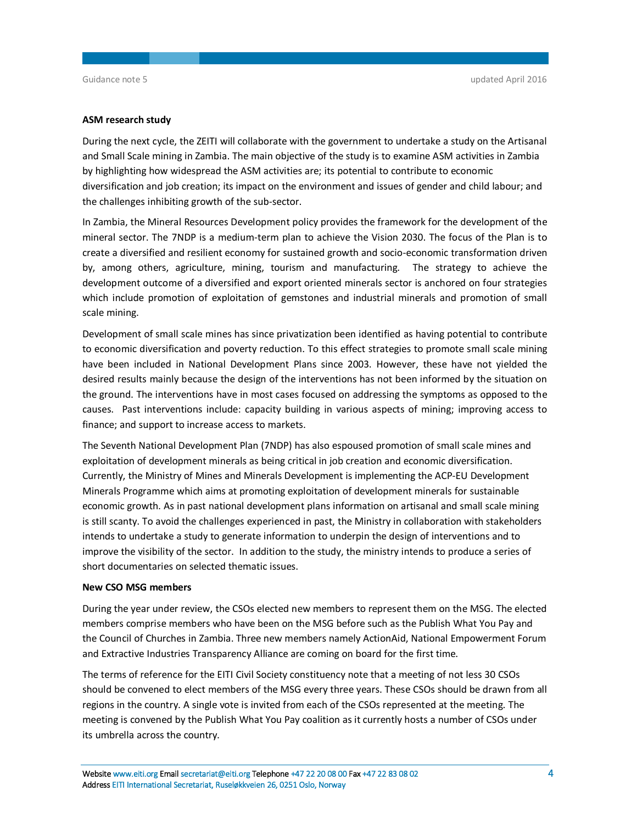#### **ASM research study**

During the next cycle, the ZEITI will collaborate with the government to undertake a study on the Artisanal and Small Scale mining in Zambia. The main objective of the study is to examine ASM activities in Zambia by highlighting how widespread the ASM activities are; its potential to contribute to economic diversification and job creation; its impact on the environment and issues of gender and child labour; and the challenges inhibiting growth of the sub-sector.

In Zambia, the Mineral Resources Development policy provides the framework for the development of the mineral sector. The 7NDP is a medium-term plan to achieve the Vision 2030. The focus of the Plan is to create a diversified and resilient economy for sustained growth and socio-economic transformation driven by, among others, agriculture, mining, tourism and manufacturing. The strategy to achieve the development outcome of a diversified and export oriented minerals sector is anchored on four strategies which include promotion of exploitation of gemstones and industrial minerals and promotion of small scale mining.

Development of small scale mines has since privatization been identified as having potential to contribute to economic diversification and poverty reduction. To this effect strategies to promote small scale mining have been included in National Development Plans since 2003. However, these have not yielded the desired results mainly because the design of the interventions has not been informed by the situation on the ground. The interventions have in most cases focused on addressing the symptoms as opposed to the causes. Past interventions include: capacity building in various aspects of mining; improving access to finance; and support to increase access to markets.

The Seventh National Development Plan (7NDP) has also espoused promotion of small scale mines and exploitation of development minerals as being critical in job creation and economic diversification. Currently, the Ministry of Mines and Minerals Development is implementing the ACP-EU Development Minerals Programme which aims at promoting exploitation of development minerals for sustainable economic growth. As in past national development plans information on artisanal and small scale mining is still scanty. To avoid the challenges experienced in past, the Ministry in collaboration with stakeholders intends to undertake a study to generate information to underpin the design of interventions and to improve the visibility of the sector. In addition to the study, the ministry intends to produce a series of short documentaries on selected thematic issues.

#### **New CSO MSG members**

During the year under review, the CSOs elected new members to represent them on the MSG. The elected members comprise members who have been on the MSG before such as the Publish What You Pay and the Council of Churches in Zambia. Three new members namely ActionAid, National Empowerment Forum and Extractive Industries Transparency Alliance are coming on board for the first time.

The terms of reference for the EITI Civil Society constituency note that a meeting of not less 30 CSOs should be convened to elect members of the MSG every three years. These CSOs should be drawn from all regions in the country. A single vote is invited from each of the CSOs represented at the meeting. The meeting is convened by the Publish What You Pay coalition as it currently hosts a number of CSOs under its umbrella across the country.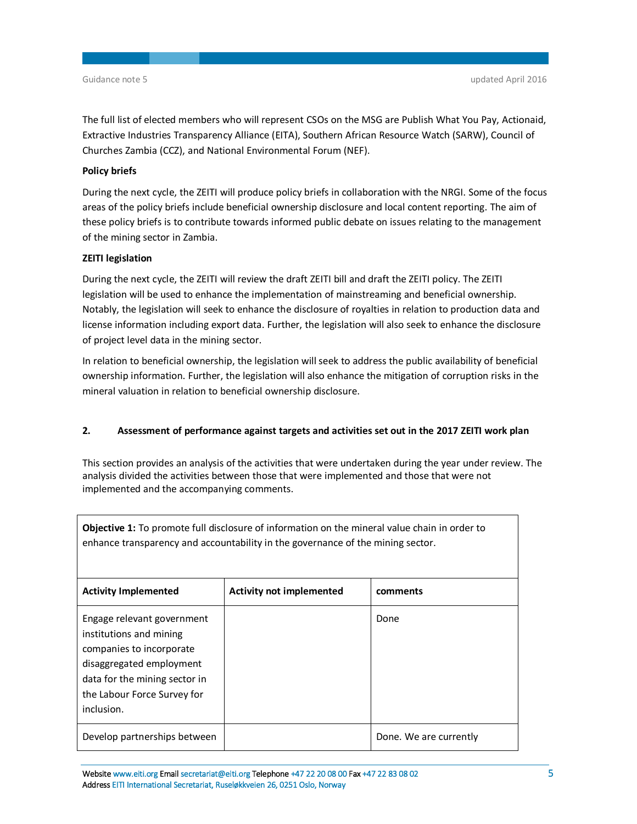The full list of elected members who will represent CSOs on the MSG are Publish What You Pay, Actionaid, Extractive Industries Transparency Alliance (EITA), Southern African Resource Watch (SARW), Council of Churches Zambia (CCZ), and National Environmental Forum (NEF).

## **Policy briefs**

During the next cycle, the ZEITI will produce policy briefs in collaboration with the NRGI. Some of the focus areas of the policy briefs include beneficial ownership disclosure and local content reporting. The aim of these policy briefs is to contribute towards informed public debate on issues relating to the management of the mining sector in Zambia.

## **ZEITI legislation**

During the next cycle, the ZEITI will review the draft ZEITI bill and draft the ZEITI policy. The ZEITI legislation will be used to enhance the implementation of mainstreaming and beneficial ownership. Notably, the legislation will seek to enhance the disclosure of royalties in relation to production data and license information including export data. Further, the legislation will also seek to enhance the disclosure of project level data in the mining sector.

In relation to beneficial ownership, the legislation will seek to address the public availability of beneficial ownership information. Further, the legislation will also enhance the mitigation of corruption risks in the mineral valuation in relation to beneficial ownership disclosure.

## **2. Assessment of performance against targets and activities set out in the 2017 ZEITI work plan**

This section provides an analysis of the activities that were undertaken during the year under review. The analysis divided the activities between those that were implemented and those that were not implemented and the accompanying comments.

| <b>Objective 1:</b> To promote full disclosure of information on the mineral value chain in order to<br>enhance transparency and accountability in the governance of the mining sector.     |                                 |                        |
|---------------------------------------------------------------------------------------------------------------------------------------------------------------------------------------------|---------------------------------|------------------------|
| <b>Activity Implemented</b>                                                                                                                                                                 | <b>Activity not implemented</b> | comments               |
| Engage relevant government<br>institutions and mining<br>companies to incorporate<br>disaggregated employment<br>data for the mining sector in<br>the Labour Force Survey for<br>inclusion. |                                 | Done                   |
| Develop partnerships between                                                                                                                                                                |                                 | Done. We are currently |

**Website [www.eiti.org](http://www.eiti.org) Email [secretariat@eiti.org](mailto:secretariat@eiti.org) Telephone +47 22 20 08 00 Fax +47 22 83 08 02 5 Address EITI International Secretariat, Ruseløkkveien 26, 0251 Oslo, Norway**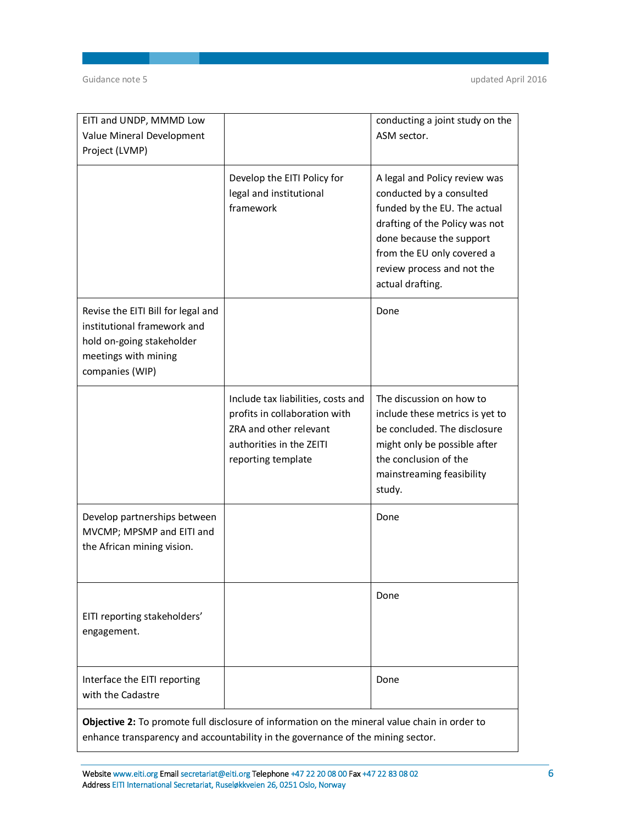| EITI and UNDP, MMMD Low                                                                                                                   |                                                                                                                                                 | conducting a joint study on the                                                                                                                                                                                                         |
|-------------------------------------------------------------------------------------------------------------------------------------------|-------------------------------------------------------------------------------------------------------------------------------------------------|-----------------------------------------------------------------------------------------------------------------------------------------------------------------------------------------------------------------------------------------|
| Value Mineral Development                                                                                                                 |                                                                                                                                                 | ASM sector.                                                                                                                                                                                                                             |
| Project (LVMP)                                                                                                                            |                                                                                                                                                 |                                                                                                                                                                                                                                         |
|                                                                                                                                           | Develop the EITI Policy for<br>legal and institutional<br>framework                                                                             | A legal and Policy review was<br>conducted by a consulted<br>funded by the EU. The actual<br>drafting of the Policy was not<br>done because the support<br>from the EU only covered a<br>review process and not the<br>actual drafting. |
| Revise the EITI Bill for legal and<br>institutional framework and<br>hold on-going stakeholder<br>meetings with mining<br>companies (WIP) |                                                                                                                                                 | Done                                                                                                                                                                                                                                    |
|                                                                                                                                           | Include tax liabilities, costs and<br>profits in collaboration with<br>ZRA and other relevant<br>authorities in the ZEITI<br>reporting template | The discussion on how to<br>include these metrics is yet to<br>be concluded. The disclosure<br>might only be possible after<br>the conclusion of the<br>mainstreaming feasibility<br>study.                                             |
| Develop partnerships between<br>MVCMP; MPSMP and EITI and<br>the African mining vision.                                                   |                                                                                                                                                 | Done                                                                                                                                                                                                                                    |
| EITI reporting stakeholders'<br>engagement.                                                                                               |                                                                                                                                                 | Done                                                                                                                                                                                                                                    |
| Interface the EITI reporting<br>with the Cadastre                                                                                         |                                                                                                                                                 | Done                                                                                                                                                                                                                                    |
|                                                                                                                                           |                                                                                                                                                 |                                                                                                                                                                                                                                         |

**Objective 2:** To promote full disclosure of information on the mineral value chain in order to enhance transparency and accountability in the governance of the mining sector.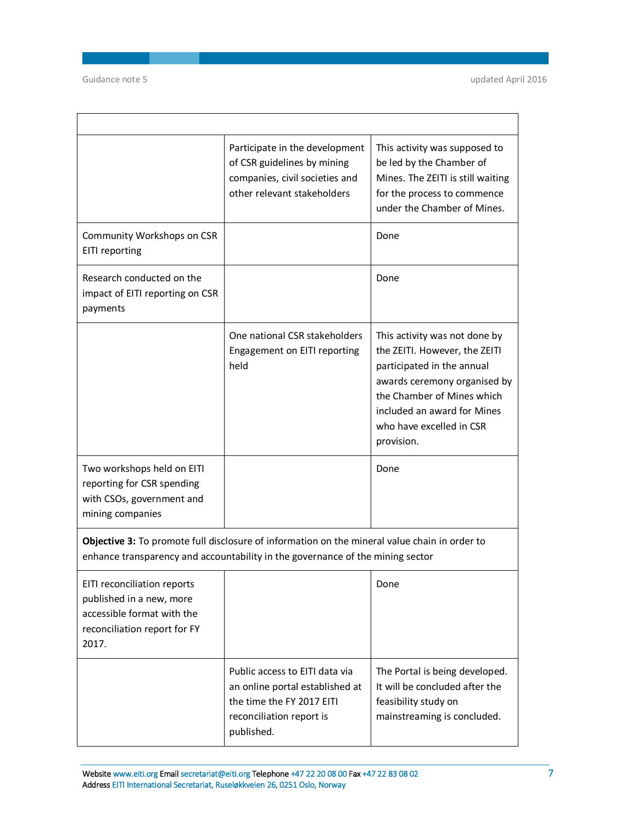$\Gamma$ 

|                                                                                                                                | Participate in the development<br>of CSR guidelines by mining<br>companies, civil societies and<br>other relevant stakeholders                                                  | This activity was supposed to<br>be led by the Chamber of<br>Mines. The ZEITI is still waiting<br>for the process to commence<br>under the Chamber of Mines.                                                                        |
|--------------------------------------------------------------------------------------------------------------------------------|---------------------------------------------------------------------------------------------------------------------------------------------------------------------------------|-------------------------------------------------------------------------------------------------------------------------------------------------------------------------------------------------------------------------------------|
| Community Workshops on CSR<br>EITI reporting                                                                                   |                                                                                                                                                                                 | Done                                                                                                                                                                                                                                |
| Research conducted on the<br>impact of EITI reporting on CSR<br>payments                                                       |                                                                                                                                                                                 | Done                                                                                                                                                                                                                                |
|                                                                                                                                | One national CSR stakeholders<br>Engagement on EITI reporting<br>held                                                                                                           | This activity was not done by<br>the ZEITI. However, the ZEITI<br>participated in the annual<br>awards ceremony organised by<br>the Chamber of Mines which<br>included an award for Mines<br>who have excelled in CSR<br>provision. |
| Two workshops held on EITI<br>reporting for CSR spending<br>with CSOs, government and<br>mining companies                      |                                                                                                                                                                                 | Done                                                                                                                                                                                                                                |
|                                                                                                                                | Objective 3: To promote full disclosure of information on the mineral value chain in order to<br>enhance transparency and accountability in the governance of the mining sector |                                                                                                                                                                                                                                     |
| EITI reconciliation reports<br>published in a new, more<br>accessible format with the<br>reconciliation report for FY<br>2017. |                                                                                                                                                                                 | Done                                                                                                                                                                                                                                |
|                                                                                                                                | Public access to EITI data via<br>an online portal established at<br>the time the FY 2017 EITI<br>reconciliation report is<br>published.                                        | The Portal is being developed.<br>It will be concluded after the<br>feasibility study on<br>mainstreaming is concluded.                                                                                                             |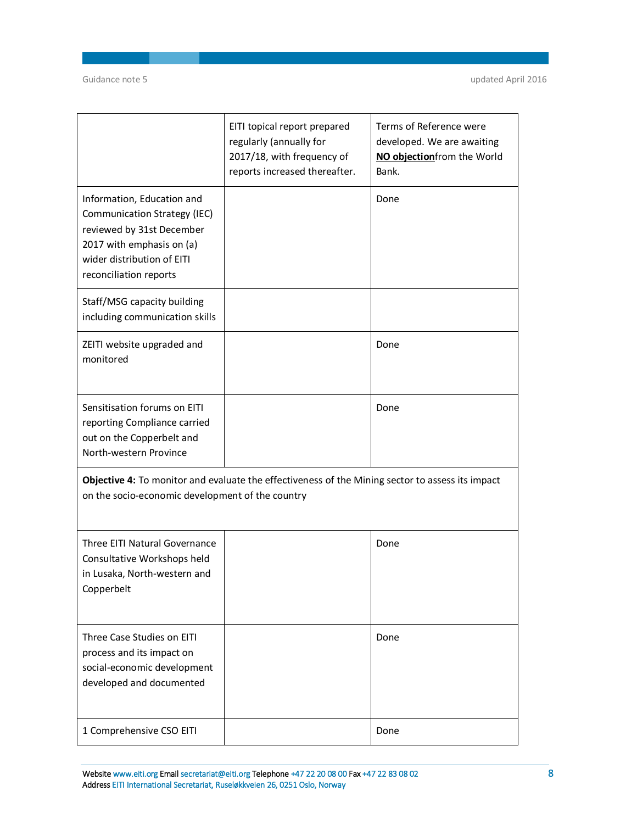|                                                                                                                                                                              | EITI topical report prepared<br>regularly (annually for<br>2017/18, with frequency of<br>reports increased thereafter. | Terms of Reference were<br>developed. We are awaiting<br>NO objectionfrom the World<br>Bank. |
|------------------------------------------------------------------------------------------------------------------------------------------------------------------------------|------------------------------------------------------------------------------------------------------------------------|----------------------------------------------------------------------------------------------|
| Information, Education and<br>Communication Strategy (IEC)<br>reviewed by 31st December<br>2017 with emphasis on (a)<br>wider distribution of EITI<br>reconciliation reports |                                                                                                                        | Done                                                                                         |
| Staff/MSG capacity building<br>including communication skills                                                                                                                |                                                                                                                        |                                                                                              |
| ZEITI website upgraded and<br>monitored                                                                                                                                      |                                                                                                                        | Done                                                                                         |
| Sensitisation forums on EITI<br>reporting Compliance carried<br>out on the Copperbelt and<br>North-western Province                                                          |                                                                                                                        | Done                                                                                         |
| on the socio-economic development of the country                                                                                                                             | Objective 4: To monitor and evaluate the effectiveness of the Mining sector to assess its impact                       |                                                                                              |
| Three EITI Natural Governance<br>Consultative Workshops held<br>in Lusaka, North-western and<br>Copperbelt                                                                   |                                                                                                                        | Done                                                                                         |
| Three Case Studies on EITI<br>process and its impact on<br>social-economic development<br>developed and documented                                                           |                                                                                                                        | Done                                                                                         |
| 1 Comprehensive CSO EITI                                                                                                                                                     |                                                                                                                        | Done                                                                                         |

**Website [www.eiti.org](http://www.eiti.org) Email [secretariat@eiti.org](mailto:secretariat@eiti.org) Telephone +47 22 20 08 00 Fax +47 22 83 08 02 8 Address EITI International Secretariat, Ruseløkkveien 26, 0251 Oslo, Norway**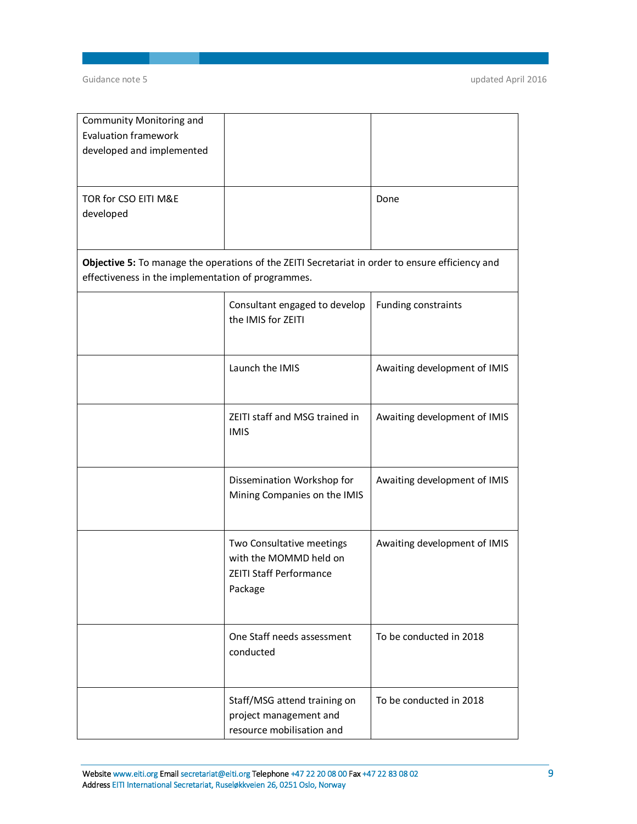| Community Monitoring and<br><b>Evaluation framework</b><br>developed and implemented |                                                                                                  |                              |
|--------------------------------------------------------------------------------------|--------------------------------------------------------------------------------------------------|------------------------------|
| TOR for CSO EITI M&E<br>developed                                                    |                                                                                                  | Done                         |
| effectiveness in the implementation of programmes.                                   | Objective 5: To manage the operations of the ZEITI Secretariat in order to ensure efficiency and |                              |
|                                                                                      | Consultant engaged to develop<br>the IMIS for ZEITI                                              | Funding constraints          |
|                                                                                      | Launch the IMIS                                                                                  | Awaiting development of IMIS |
|                                                                                      | ZEITI staff and MSG trained in<br><b>IMIS</b>                                                    | Awaiting development of IMIS |
|                                                                                      | Dissemination Workshop for<br>Mining Companies on the IMIS                                       | Awaiting development of IMIS |
|                                                                                      | Two Consultative meetings<br>with the MOMMD held on<br><b>ZEITI Staff Performance</b><br>Package | Awaiting development of IMIS |
|                                                                                      | One Staff needs assessment<br>conducted                                                          | To be conducted in 2018      |
|                                                                                      | Staff/MSG attend training on<br>project management and<br>resource mobilisation and              | To be conducted in 2018      |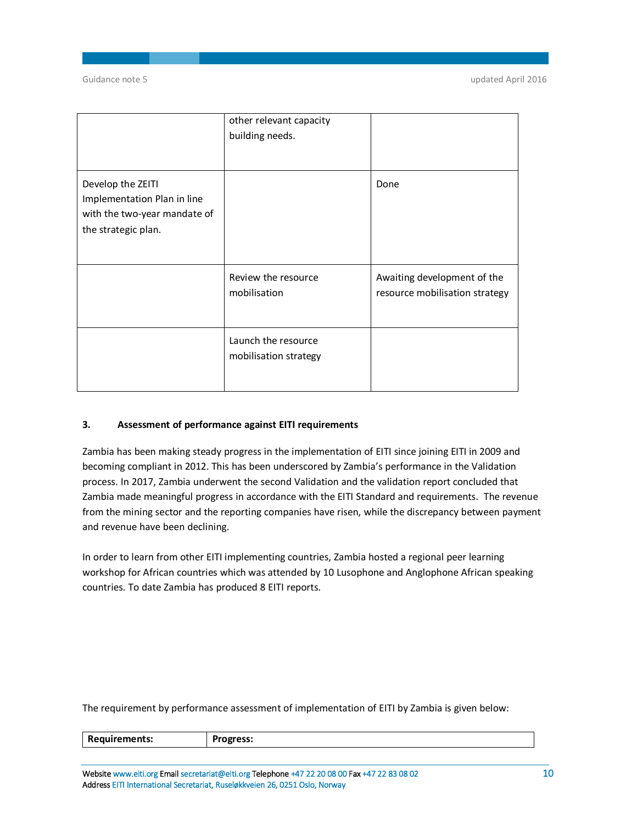Guidance note 5 updated April 2016

|                                                                                                         | other relevant capacity<br>building needs.   |                                                               |
|---------------------------------------------------------------------------------------------------------|----------------------------------------------|---------------------------------------------------------------|
| Develop the ZEITI<br>Implementation Plan in line<br>with the two-year mandate of<br>the strategic plan. |                                              | Done                                                          |
|                                                                                                         | Review the resource<br>mobilisation          | Awaiting development of the<br>resource mobilisation strategy |
|                                                                                                         | Launch the resource<br>mobilisation strategy |                                                               |

## **3. Assessment of performance against EITI requirements**

Zambia has been making steady progress in the implementation of EITI since joining EITI in 2009 and becoming compliant in 2012. This has been underscored by Zambia's performance in the Validation process. In 2017, Zambia underwent the second Validation and the validation report concluded that Zambia made meaningful progress in accordance with the EITI Standard and requirements. The revenue from the mining sector and the reporting companies have risen, while the discrepancy between payment and revenue have been declining.

In order to learn from other EITI implementing countries, Zambia hosted a regional peer learning workshop for African countries which was attended by 10 Lusophone and Anglophone African speaking countries. To date Zambia has produced 8 EITI reports.

The requirement by performance assessment of implementation of EITI by Zambia is given below:

| R6<br>nents:<br>. | υχι ess. |
|-------------------|----------|
|                   |          |

**Website [www.eiti.org](http://www.eiti.org) Email [secretariat@eiti.org](mailto:secretariat@eiti.org) Telephone +47 22 20 08 00 Fax +47 22 83 08 02 10 Address EITI International Secretariat, Ruseløkkveien 26, 0251 Oslo, Norway**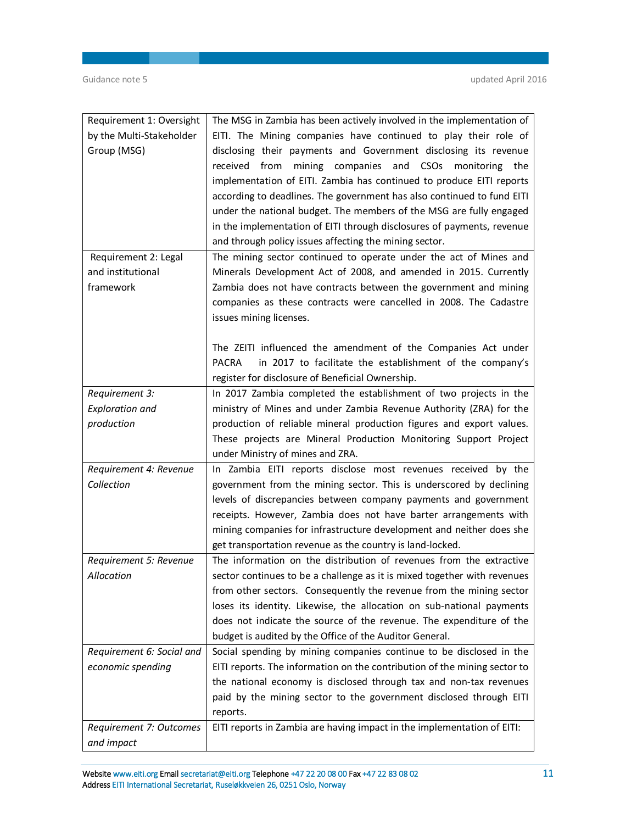| Requirement 1: Oversight                  | The MSG in Zambia has been actively involved in the implementation of                                                                                                                                                                                                                                                                                                                                                                                                                                                                                          |
|-------------------------------------------|----------------------------------------------------------------------------------------------------------------------------------------------------------------------------------------------------------------------------------------------------------------------------------------------------------------------------------------------------------------------------------------------------------------------------------------------------------------------------------------------------------------------------------------------------------------|
| by the Multi-Stakeholder                  | EITI. The Mining companies have continued to play their role of                                                                                                                                                                                                                                                                                                                                                                                                                                                                                                |
| Group (MSG)                               | disclosing their payments and Government disclosing its revenue<br>received from<br>mining companies and CSOs monitoring the<br>implementation of EITI. Zambia has continued to produce EITI reports<br>according to deadlines. The government has also continued to fund EITI<br>under the national budget. The members of the MSG are fully engaged<br>in the implementation of EITI through disclosures of payments, revenue<br>and through policy issues affecting the mining sector.<br>The mining sector continued to operate under the act of Mines and |
| Requirement 2: Legal<br>and institutional | Minerals Development Act of 2008, and amended in 2015. Currently                                                                                                                                                                                                                                                                                                                                                                                                                                                                                               |
| framework                                 | Zambia does not have contracts between the government and mining<br>companies as these contracts were cancelled in 2008. The Cadastre<br>issues mining licenses.                                                                                                                                                                                                                                                                                                                                                                                               |
|                                           | The ZEITI influenced the amendment of the Companies Act under<br><b>PACRA</b><br>in 2017 to facilitate the establishment of the company's<br>register for disclosure of Beneficial Ownership.                                                                                                                                                                                                                                                                                                                                                                  |
| Requirement 3:                            | In 2017 Zambia completed the establishment of two projects in the                                                                                                                                                                                                                                                                                                                                                                                                                                                                                              |
| <b>Exploration and</b>                    | ministry of Mines and under Zambia Revenue Authority (ZRA) for the                                                                                                                                                                                                                                                                                                                                                                                                                                                                                             |
| production                                | production of reliable mineral production figures and export values.                                                                                                                                                                                                                                                                                                                                                                                                                                                                                           |
|                                           | These projects are Mineral Production Monitoring Support Project                                                                                                                                                                                                                                                                                                                                                                                                                                                                                               |
|                                           | under Ministry of mines and ZRA.                                                                                                                                                                                                                                                                                                                                                                                                                                                                                                                               |
|                                           |                                                                                                                                                                                                                                                                                                                                                                                                                                                                                                                                                                |
| Requirement 4: Revenue                    | In Zambia EITI reports disclose most revenues received by the                                                                                                                                                                                                                                                                                                                                                                                                                                                                                                  |
| Collection                                | government from the mining sector. This is underscored by declining                                                                                                                                                                                                                                                                                                                                                                                                                                                                                            |
|                                           | levels of discrepancies between company payments and government<br>receipts. However, Zambia does not have barter arrangements with<br>mining companies for infrastructure development and neither does she<br>get transportation revenue as the country is land-locked.                                                                                                                                                                                                                                                                                       |
| Requirement 5: Revenue                    | The information on the distribution of revenues from the extractive                                                                                                                                                                                                                                                                                                                                                                                                                                                                                            |
| Allocation                                | sector continues to be a challenge as it is mixed together with revenues                                                                                                                                                                                                                                                                                                                                                                                                                                                                                       |
|                                           | from other sectors. Consequently the revenue from the mining sector                                                                                                                                                                                                                                                                                                                                                                                                                                                                                            |
|                                           | loses its identity. Likewise, the allocation on sub-national payments                                                                                                                                                                                                                                                                                                                                                                                                                                                                                          |
|                                           | does not indicate the source of the revenue. The expenditure of the                                                                                                                                                                                                                                                                                                                                                                                                                                                                                            |
|                                           | budget is audited by the Office of the Auditor General.                                                                                                                                                                                                                                                                                                                                                                                                                                                                                                        |
| Requirement 6: Social and                 | Social spending by mining companies continue to be disclosed in the                                                                                                                                                                                                                                                                                                                                                                                                                                                                                            |
| economic spending                         | EITI reports. The information on the contribution of the mining sector to                                                                                                                                                                                                                                                                                                                                                                                                                                                                                      |
|                                           | the national economy is disclosed through tax and non-tax revenues                                                                                                                                                                                                                                                                                                                                                                                                                                                                                             |
|                                           | paid by the mining sector to the government disclosed through EITI                                                                                                                                                                                                                                                                                                                                                                                                                                                                                             |
| Requirement 7: Outcomes                   | reports.<br>EITI reports in Zambia are having impact in the implementation of EITI:                                                                                                                                                                                                                                                                                                                                                                                                                                                                            |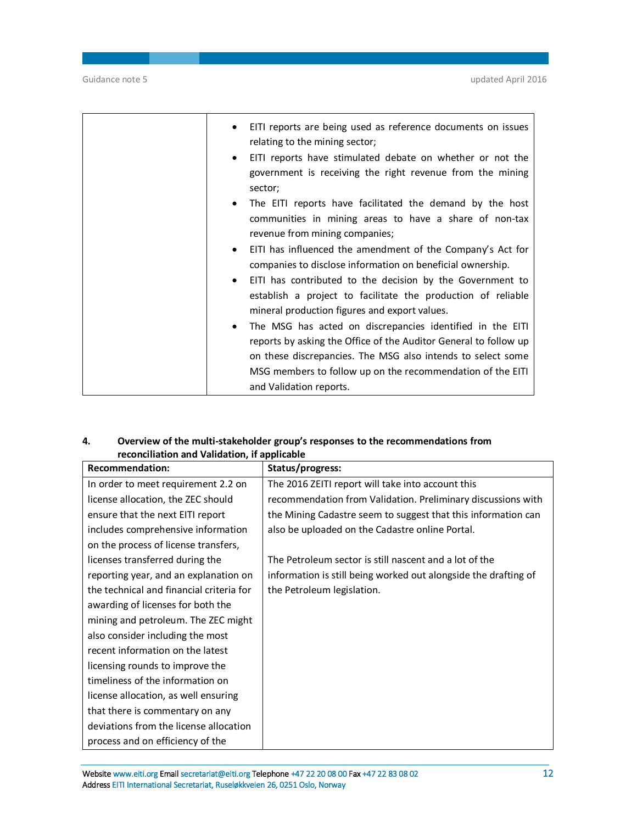| EITI reports are being used as reference documents on issues<br>relating to the mining sector;                                                                                                            |
|-----------------------------------------------------------------------------------------------------------------------------------------------------------------------------------------------------------|
| EITI reports have stimulated debate on whether or not the<br>$\bullet$<br>government is receiving the right revenue from the mining<br>sector;                                                            |
| The EITI reports have facilitated the demand by the host<br>$\bullet$<br>communities in mining areas to have a share of non-tax<br>revenue from mining companies;                                         |
| EITI has influenced the amendment of the Company's Act for<br>$\bullet$<br>companies to disclose information on beneficial ownership.                                                                     |
| EITI has contributed to the decision by the Government to<br>$\bullet$<br>establish a project to facilitate the production of reliable<br>mineral production figures and export values.                   |
| The MSG has acted on discrepancies identified in the EITI<br>$\bullet$<br>reports by asking the Office of the Auditor General to follow up<br>on these discrepancies. The MSG also intends to select some |
| MSG members to follow up on the recommendation of the EITI<br>and Validation reports.                                                                                                                     |

# **4. Overview of the multi-stakeholder group's responses to the recommendations from reconciliation and Validation, if applicable**

| <b>Recommendation:</b>                   | Status/progress:                                                |
|------------------------------------------|-----------------------------------------------------------------|
| In order to meet requirement 2.2 on      | The 2016 ZEITI report will take into account this               |
| license allocation, the ZEC should       | recommendation from Validation. Preliminary discussions with    |
| ensure that the next EITI report         | the Mining Cadastre seem to suggest that this information can   |
| includes comprehensive information       | also be uploaded on the Cadastre online Portal.                 |
| on the process of license transfers,     |                                                                 |
| licenses transferred during the          | The Petroleum sector is still nascent and a lot of the          |
| reporting year, and an explanation on    | information is still being worked out alongside the drafting of |
| the technical and financial criteria for | the Petroleum legislation.                                      |
| awarding of licenses for both the        |                                                                 |
| mining and petroleum. The ZEC might      |                                                                 |
| also consider including the most         |                                                                 |
| recent information on the latest         |                                                                 |
| licensing rounds to improve the          |                                                                 |
| timeliness of the information on         |                                                                 |
| license allocation, as well ensuring     |                                                                 |
| that there is commentary on any          |                                                                 |
| deviations from the license allocation   |                                                                 |
| process and on efficiency of the         |                                                                 |

**Website [www.eiti.org](http://www.eiti.org) Email [secretariat@eiti.org](mailto:secretariat@eiti.org) Telephone +47 22 20 08 00 Fax +47 22 83 08 02 12 Address EITI International Secretariat, Ruseløkkveien 26, 0251 Oslo, Norway**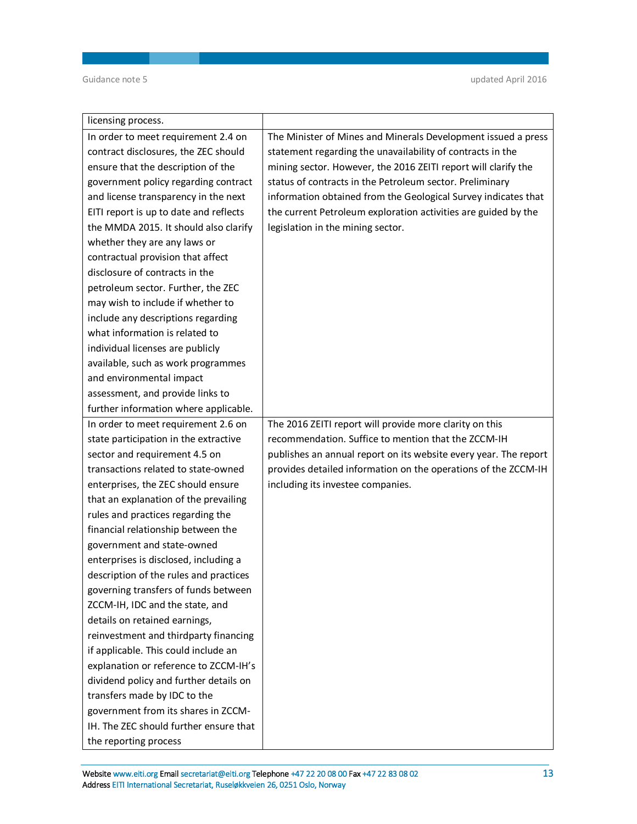| licensing process.                     |                                                                  |
|----------------------------------------|------------------------------------------------------------------|
| In order to meet requirement 2.4 on    | The Minister of Mines and Minerals Development issued a press    |
| contract disclosures, the ZEC should   | statement regarding the unavailability of contracts in the       |
| ensure that the description of the     | mining sector. However, the 2016 ZEITI report will clarify the   |
| government policy regarding contract   | status of contracts in the Petroleum sector. Preliminary         |
| and license transparency in the next   | information obtained from the Geological Survey indicates that   |
| EITI report is up to date and reflects | the current Petroleum exploration activities are guided by the   |
| the MMDA 2015. It should also clarify  | legislation in the mining sector.                                |
| whether they are any laws or           |                                                                  |
| contractual provision that affect      |                                                                  |
| disclosure of contracts in the         |                                                                  |
| petroleum sector. Further, the ZEC     |                                                                  |
| may wish to include if whether to      |                                                                  |
| include any descriptions regarding     |                                                                  |
| what information is related to         |                                                                  |
| individual licenses are publicly       |                                                                  |
| available, such as work programmes     |                                                                  |
| and environmental impact               |                                                                  |
| assessment, and provide links to       |                                                                  |
| further information where applicable.  |                                                                  |
| In order to meet requirement 2.6 on    | The 2016 ZEITI report will provide more clarity on this          |
| state participation in the extractive  | recommendation. Suffice to mention that the ZCCM-IH              |
| sector and requirement 4.5 on          | publishes an annual report on its website every year. The report |
| transactions related to state-owned    | provides detailed information on the operations of the ZCCM-IH   |
| enterprises, the ZEC should ensure     | including its investee companies.                                |
| that an explanation of the prevailing  |                                                                  |
| rules and practices regarding the      |                                                                  |
| financial relationship between the     |                                                                  |
| government and state-owned             |                                                                  |
| enterprises is disclosed, including a  |                                                                  |
| description of the rules and practices |                                                                  |
| governing transfers of funds between   |                                                                  |
| ZCCM-IH, IDC and the state, and        |                                                                  |
| details on retained earnings,          |                                                                  |
| reinvestment and thirdparty financing  |                                                                  |
| if applicable. This could include an   |                                                                  |
| explanation or reference to ZCCM-IH's  |                                                                  |
| dividend policy and further details on |                                                                  |
| transfers made by IDC to the           |                                                                  |
| government from its shares in ZCCM-    |                                                                  |
| IH. The ZEC should further ensure that |                                                                  |
| the reporting process                  |                                                                  |

## **Website [www.eiti.org](http://www.eiti.org) Email [secretariat@eiti.org](mailto:secretariat@eiti.org) Telephone +47 22 20 08 00 Fax +47 22 83 08 02 13 Address EITI International Secretariat, Ruseløkkveien 26, 0251 Oslo, Norway**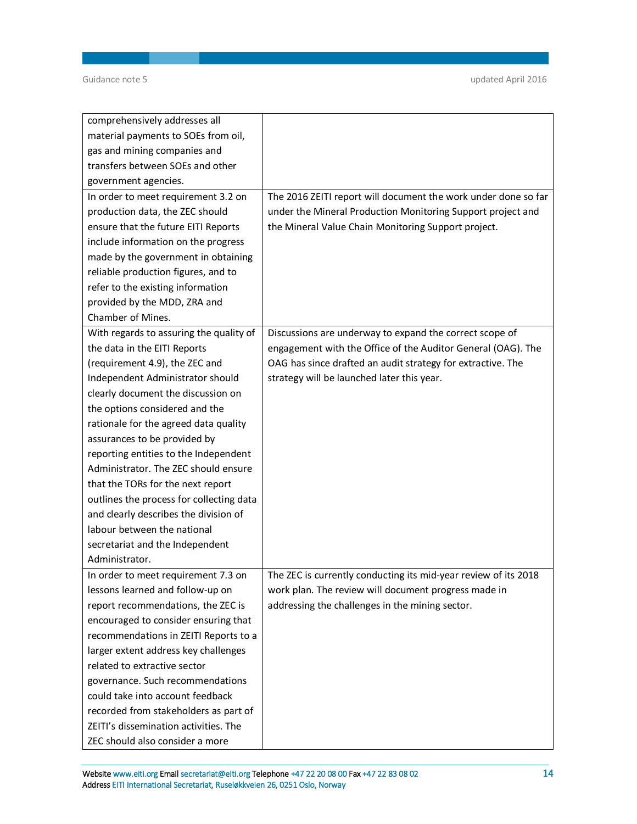| comprehensively addresses all            |                                                                 |
|------------------------------------------|-----------------------------------------------------------------|
| material payments to SOEs from oil,      |                                                                 |
| gas and mining companies and             |                                                                 |
| transfers between SOEs and other         |                                                                 |
| government agencies.                     |                                                                 |
| In order to meet requirement 3.2 on      | The 2016 ZEITI report will document the work under done so far  |
| production data, the ZEC should          | under the Mineral Production Monitoring Support project and     |
| ensure that the future EITI Reports      | the Mineral Value Chain Monitoring Support project.             |
| include information on the progress      |                                                                 |
| made by the government in obtaining      |                                                                 |
| reliable production figures, and to      |                                                                 |
| refer to the existing information        |                                                                 |
| provided by the MDD, ZRA and             |                                                                 |
| Chamber of Mines.                        |                                                                 |
| With regards to assuring the quality of  | Discussions are underway to expand the correct scope of         |
| the data in the EITI Reports             | engagement with the Office of the Auditor General (OAG). The    |
| (requirement 4.9), the ZEC and           | OAG has since drafted an audit strategy for extractive. The     |
| Independent Administrator should         | strategy will be launched later this year.                      |
| clearly document the discussion on       |                                                                 |
| the options considered and the           |                                                                 |
| rationale for the agreed data quality    |                                                                 |
| assurances to be provided by             |                                                                 |
| reporting entities to the Independent    |                                                                 |
| Administrator. The ZEC should ensure     |                                                                 |
| that the TORs for the next report        |                                                                 |
| outlines the process for collecting data |                                                                 |
| and clearly describes the division of    |                                                                 |
| labour between the national              |                                                                 |
| secretariat and the Independent          |                                                                 |
| Administrator.                           |                                                                 |
| In order to meet requirement 7.3 on      | The ZEC is currently conducting its mid-year review of its 2018 |
| lessons learned and follow-up on         | work plan. The review will document progress made in            |
| report recommendations, the ZEC is       | addressing the challenges in the mining sector.                 |
| encouraged to consider ensuring that     |                                                                 |
| recommendations in ZEITI Reports to a    |                                                                 |
| larger extent address key challenges     |                                                                 |
| related to extractive sector             |                                                                 |
| governance. Such recommendations         |                                                                 |
| could take into account feedback         |                                                                 |
| recorded from stakeholders as part of    |                                                                 |
| ZEITI's dissemination activities. The    |                                                                 |
| ZEC should also consider a more          |                                                                 |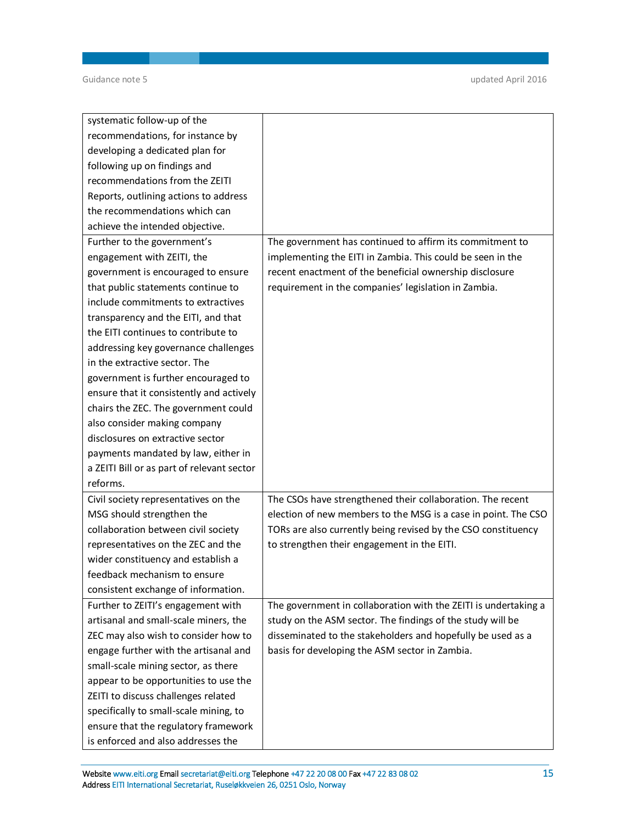Guidance note 5 updated April 2016

| systematic follow-up of the                |                                                                 |
|--------------------------------------------|-----------------------------------------------------------------|
| recommendations, for instance by           |                                                                 |
| developing a dedicated plan for            |                                                                 |
| following up on findings and               |                                                                 |
| recommendations from the ZEITI             |                                                                 |
| Reports, outlining actions to address      |                                                                 |
| the recommendations which can              |                                                                 |
| achieve the intended objective.            |                                                                 |
| Further to the government's                | The government has continued to affirm its commitment to        |
| engagement with ZEITI, the                 | implementing the EITI in Zambia. This could be seen in the      |
| government is encouraged to ensure         | recent enactment of the beneficial ownership disclosure         |
| that public statements continue to         | requirement in the companies' legislation in Zambia.            |
| include commitments to extractives         |                                                                 |
| transparency and the EITI, and that        |                                                                 |
| the EITI continues to contribute to        |                                                                 |
| addressing key governance challenges       |                                                                 |
| in the extractive sector. The              |                                                                 |
| government is further encouraged to        |                                                                 |
| ensure that it consistently and actively   |                                                                 |
| chairs the ZEC. The government could       |                                                                 |
| also consider making company               |                                                                 |
| disclosures on extractive sector           |                                                                 |
| payments mandated by law, either in        |                                                                 |
| a ZEITI Bill or as part of relevant sector |                                                                 |
| reforms.                                   |                                                                 |
| Civil society representatives on the       | The CSOs have strengthened their collaboration. The recent      |
| MSG should strengthen the                  | election of new members to the MSG is a case in point. The CSO  |
| collaboration between civil society        | TORs are also currently being revised by the CSO constituency   |
| representatives on the ZEC and the         | to strengthen their engagement in the EITI.                     |
| wider constituency and establish a         |                                                                 |
| feedback mechanism to ensure               |                                                                 |
| consistent exchange of information.        |                                                                 |
| Further to ZEITI's engagement with         | The government in collaboration with the ZEITI is undertaking a |
| artisanal and small-scale miners, the      | study on the ASM sector. The findings of the study will be      |
| ZEC may also wish to consider how to       | disseminated to the stakeholders and hopefully be used as a     |
| engage further with the artisanal and      | basis for developing the ASM sector in Zambia.                  |
| small-scale mining sector, as there        |                                                                 |
| appear to be opportunities to use the      |                                                                 |
| ZEITI to discuss challenges related        |                                                                 |
| specifically to small-scale mining, to     |                                                                 |
| ensure that the regulatory framework       |                                                                 |
| is enforced and also addresses the         |                                                                 |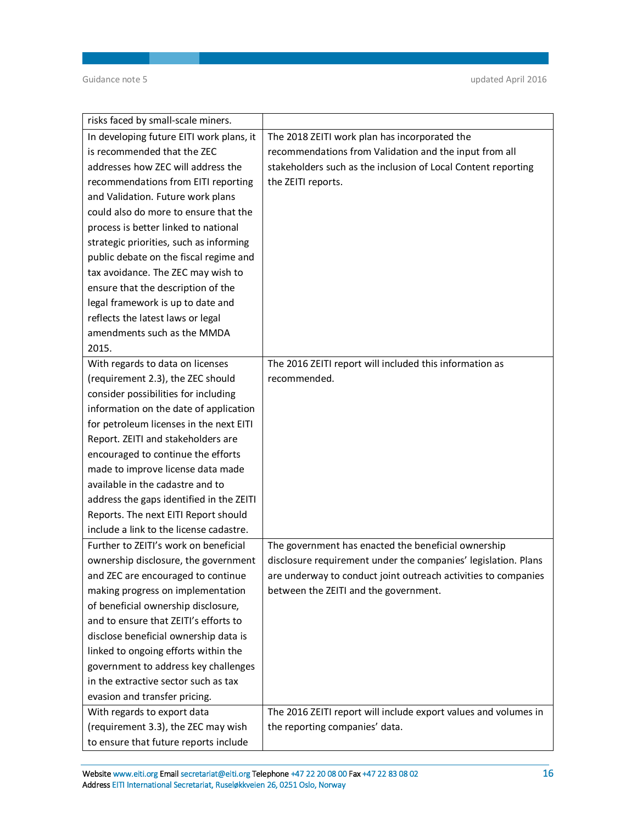| risks faced by small-scale miners.       |                                                                 |
|------------------------------------------|-----------------------------------------------------------------|
| In developing future EITI work plans, it | The 2018 ZEITI work plan has incorporated the                   |
| is recommended that the ZEC              | recommendations from Validation and the input from all          |
| addresses how ZEC will address the       | stakeholders such as the inclusion of Local Content reporting   |
| recommendations from EITI reporting      | the ZEITI reports.                                              |
| and Validation. Future work plans        |                                                                 |
| could also do more to ensure that the    |                                                                 |
| process is better linked to national     |                                                                 |
| strategic priorities, such as informing  |                                                                 |
| public debate on the fiscal regime and   |                                                                 |
| tax avoidance. The ZEC may wish to       |                                                                 |
| ensure that the description of the       |                                                                 |
| legal framework is up to date and        |                                                                 |
| reflects the latest laws or legal        |                                                                 |
| amendments such as the MMDA              |                                                                 |
| 2015.                                    |                                                                 |
| With regards to data on licenses         | The 2016 ZEITI report will included this information as         |
| (requirement 2.3), the ZEC should        | recommended.                                                    |
| consider possibilities for including     |                                                                 |
| information on the date of application   |                                                                 |
| for petroleum licenses in the next EITI  |                                                                 |
| Report. ZEITI and stakeholders are       |                                                                 |
| encouraged to continue the efforts       |                                                                 |
| made to improve license data made        |                                                                 |
| available in the cadastre and to         |                                                                 |
| address the gaps identified in the ZEITI |                                                                 |
| Reports. The next EITI Report should     |                                                                 |
| include a link to the license cadastre.  |                                                                 |
| Further to ZEITI's work on beneficial    | The government has enacted the beneficial ownership             |
| ownership disclosure, the government     | disclosure requirement under the companies' legislation. Plans  |
| and ZEC are encouraged to continue       | are underway to conduct joint outreach activities to companies  |
| making progress on implementation        | between the ZEITI and the government.                           |
| of beneficial ownership disclosure,      |                                                                 |
| and to ensure that ZEITI's efforts to    |                                                                 |
| disclose beneficial ownership data is    |                                                                 |
| linked to ongoing efforts within the     |                                                                 |
| government to address key challenges     |                                                                 |
| in the extractive sector such as tax     |                                                                 |
| evasion and transfer pricing.            |                                                                 |
| With regards to export data              | The 2016 ZEITI report will include export values and volumes in |
| (requirement 3.3), the ZEC may wish      | the reporting companies' data.                                  |
| to ensure that future reports include    |                                                                 |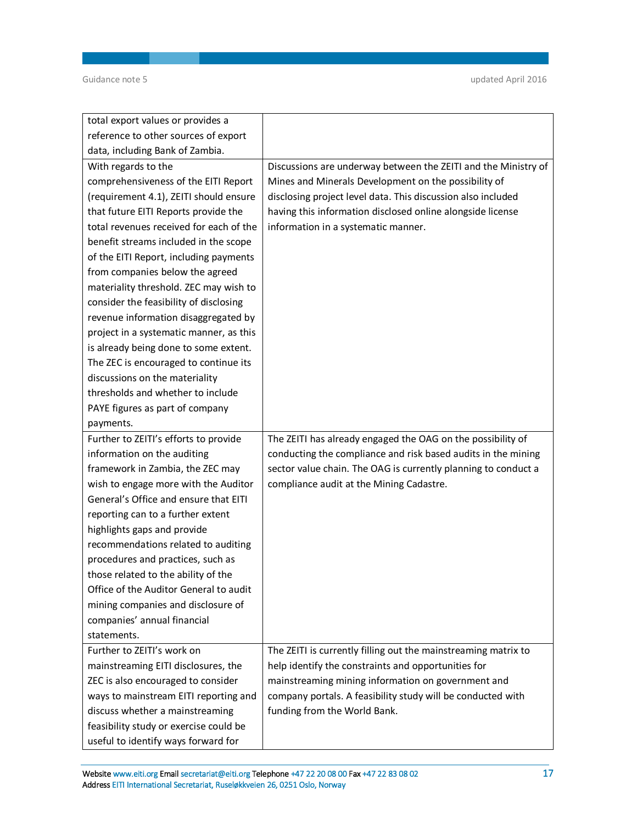| total export values or provides a       |                                                                |
|-----------------------------------------|----------------------------------------------------------------|
| reference to other sources of export    |                                                                |
| data, including Bank of Zambia.         |                                                                |
| With regards to the                     | Discussions are underway between the ZEITI and the Ministry of |
| comprehensiveness of the EITI Report    | Mines and Minerals Development on the possibility of           |
| (requirement 4.1), ZEITI should ensure  | disclosing project level data. This discussion also included   |
| that future EITI Reports provide the    | having this information disclosed online alongside license     |
| total revenues received for each of the | information in a systematic manner.                            |
| benefit streams included in the scope   |                                                                |
| of the EITI Report, including payments  |                                                                |
| from companies below the agreed         |                                                                |
| materiality threshold. ZEC may wish to  |                                                                |
| consider the feasibility of disclosing  |                                                                |
| revenue information disaggregated by    |                                                                |
| project in a systematic manner, as this |                                                                |
| is already being done to some extent.   |                                                                |
| The ZEC is encouraged to continue its   |                                                                |
| discussions on the materiality          |                                                                |
| thresholds and whether to include       |                                                                |
| PAYE figures as part of company         |                                                                |
| payments.                               |                                                                |
| Further to ZEITI's efforts to provide   |                                                                |
|                                         | The ZEITI has already engaged the OAG on the possibility of    |
| information on the auditing             | conducting the compliance and risk based audits in the mining  |
| framework in Zambia, the ZEC may        | sector value chain. The OAG is currently planning to conduct a |
| wish to engage more with the Auditor    | compliance audit at the Mining Cadastre.                       |
| General's Office and ensure that EITI   |                                                                |
| reporting can to a further extent       |                                                                |
| highlights gaps and provide             |                                                                |
| recommendations related to auditing     |                                                                |
| procedures and practices, such as       |                                                                |
| those related to the ability of the     |                                                                |
| Office of the Auditor General to audit  |                                                                |
| mining companies and disclosure of      |                                                                |
| companies' annual financial             |                                                                |
| statements.                             |                                                                |
| Further to ZEITI's work on              | The ZEITI is currently filling out the mainstreaming matrix to |
| mainstreaming EITI disclosures, the     | help identify the constraints and opportunities for            |
| ZEC is also encouraged to consider      | mainstreaming mining information on government and             |
| ways to mainstream EITI reporting and   | company portals. A feasibility study will be conducted with    |
| discuss whether a mainstreaming         | funding from the World Bank.                                   |
| feasibility study or exercise could be  |                                                                |

**Website [www.eiti.org](http://www.eiti.org) Email [secretariat@eiti.org](mailto:secretariat@eiti.org) Telephone +47 22 20 08 00 Fax +47 22 83 08 02 17 Address EITI International Secretariat, Ruseløkkveien 26, 0251 Oslo, Norway**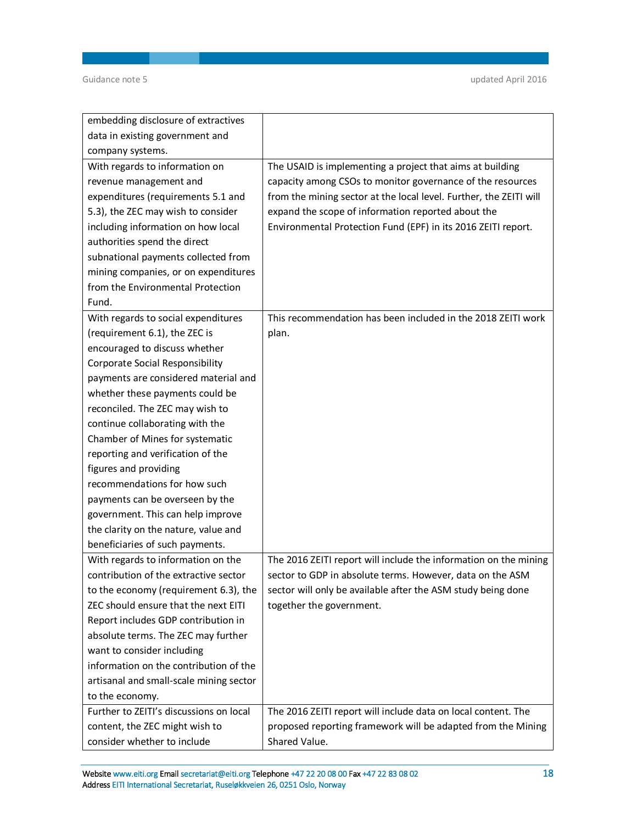| embedding disclosure of extractives     |                                                                    |
|-----------------------------------------|--------------------------------------------------------------------|
| data in existing government and         |                                                                    |
| company systems.                        |                                                                    |
| With regards to information on          | The USAID is implementing a project that aims at building          |
| revenue management and                  | capacity among CSOs to monitor governance of the resources         |
| expenditures (requirements 5.1 and      | from the mining sector at the local level. Further, the ZEITI will |
| 5.3), the ZEC may wish to consider      | expand the scope of information reported about the                 |
| including information on how local      | Environmental Protection Fund (EPF) in its 2016 ZEITI report.      |
| authorities spend the direct            |                                                                    |
| subnational payments collected from     |                                                                    |
| mining companies, or on expenditures    |                                                                    |
| from the Environmental Protection       |                                                                    |
| Fund.                                   |                                                                    |
| With regards to social expenditures     | This recommendation has been included in the 2018 ZEITI work       |
| (requirement 6.1), the ZEC is           | plan.                                                              |
| encouraged to discuss whether           |                                                                    |
| <b>Corporate Social Responsibility</b>  |                                                                    |
| payments are considered material and    |                                                                    |
| whether these payments could be         |                                                                    |
| reconciled. The ZEC may wish to         |                                                                    |
| continue collaborating with the         |                                                                    |
| Chamber of Mines for systematic         |                                                                    |
| reporting and verification of the       |                                                                    |
| figures and providing                   |                                                                    |
| recommendations for how such            |                                                                    |
| payments can be overseen by the         |                                                                    |
| government. This can help improve       |                                                                    |
| the clarity on the nature, value and    |                                                                    |
| beneficiaries of such payments.         |                                                                    |
| With regards to information on the      | The 2016 ZEITI report will include the information on the mining   |
| contribution of the extractive sector   | sector to GDP in absolute terms. However, data on the ASM          |
| to the economy (requirement 6.3), the   | sector will only be available after the ASM study being done       |
| ZEC should ensure that the next EITI    | together the government.                                           |
| Report includes GDP contribution in     |                                                                    |
| absolute terms. The ZEC may further     |                                                                    |
| want to consider including              |                                                                    |
| information on the contribution of the  |                                                                    |
| artisanal and small-scale mining sector |                                                                    |
| to the economy.                         |                                                                    |
| Further to ZEITI's discussions on local | The 2016 ZEITI report will include data on local content. The      |
| content, the ZEC might wish to          | proposed reporting framework will be adapted from the Mining       |
| consider whether to include             | Shared Value.                                                      |

**Website [www.eiti.org](http://www.eiti.org) Email [secretariat@eiti.org](mailto:secretariat@eiti.org) Telephone +47 22 20 08 00 Fax +47 22 83 08 02 18 Address EITI International Secretariat, Ruseløkkveien 26, 0251 Oslo, Norway**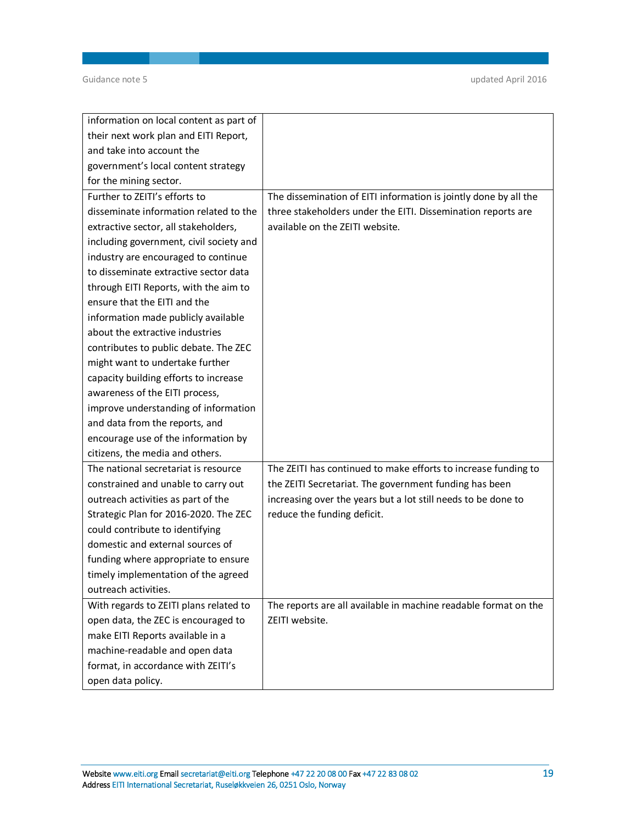| information on local content as part of |                                                                  |
|-----------------------------------------|------------------------------------------------------------------|
| their next work plan and EITI Report,   |                                                                  |
| and take into account the               |                                                                  |
| government's local content strategy     |                                                                  |
| for the mining sector.                  |                                                                  |
| Further to ZEITI's efforts to           | The dissemination of EITI information is jointly done by all the |
| disseminate information related to the  | three stakeholders under the EITI. Dissemination reports are     |
| extractive sector, all stakeholders,    | available on the ZEITI website.                                  |
| including government, civil society and |                                                                  |
| industry are encouraged to continue     |                                                                  |
| to disseminate extractive sector data   |                                                                  |
| through EITI Reports, with the aim to   |                                                                  |
| ensure that the EITI and the            |                                                                  |
| information made publicly available     |                                                                  |
| about the extractive industries         |                                                                  |
| contributes to public debate. The ZEC   |                                                                  |
| might want to undertake further         |                                                                  |
| capacity building efforts to increase   |                                                                  |
| awareness of the EITI process,          |                                                                  |
| improve understanding of information    |                                                                  |
| and data from the reports, and          |                                                                  |
| encourage use of the information by     |                                                                  |
| citizens, the media and others.         |                                                                  |
| The national secretariat is resource    | The ZEITI has continued to make efforts to increase funding to   |
| constrained and unable to carry out     | the ZEITI Secretariat. The government funding has been           |
| outreach activities as part of the      | increasing over the years but a lot still needs to be done to    |
| Strategic Plan for 2016-2020. The ZEC   | reduce the funding deficit.                                      |
| could contribute to identifying         |                                                                  |
| domestic and external sources of        |                                                                  |
| funding where appropriate to ensure     |                                                                  |
| timely implementation of the agreed     |                                                                  |
| outreach activities.                    |                                                                  |
| With regards to ZEITI plans related to  | The reports are all available in machine readable format on the  |
| open data, the ZEC is encouraged to     | ZEITI website.                                                   |
| make EITI Reports available in a        |                                                                  |
| machine-readable and open data          |                                                                  |
| format, in accordance with ZEITI's      |                                                                  |
| open data policy.                       |                                                                  |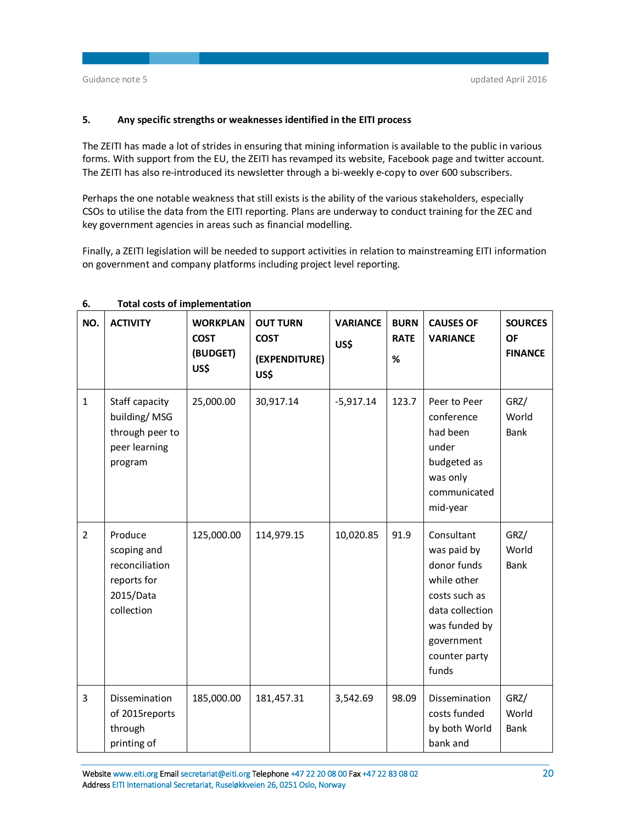# **5. Any specific strengths or weaknesses identified in the EITI process**

The ZEITI has made a lot of strides in ensuring that mining information is available to the public in various forms. With support from the EU, the ZEITI has revamped its website, Facebook page and twitter account. The ZEITI has also re-introduced its newsletter through a bi-weekly e-copy to over 600 subscribers.

Perhaps the one notable weakness that still exists is the ability of the various stakeholders, especially CSOs to utilise the data from the EITI reporting. Plans are underway to conduct training for the ZEC and key government agencies in areas such as financial modelling.

Finally, a ZEITI legislation will be needed to support activities in relation to mainstreaming EITI information on government and company platforms including project level reporting.

| NO.            | <b>ACTIVITY</b>                                                                    | <b>WORKPLAN</b><br><b>COST</b><br>(BUDGET)<br>US\$ | <b>OUT TURN</b><br><b>COST</b><br>(EXPENDITURE)<br>US\$ | <b>VARIANCE</b><br>US\$ | <b>BURN</b><br><b>RATE</b><br>$\%$ | <b>CAUSES OF</b><br><b>VARIANCE</b>                                                                                                                  | <b>SOURCES</b><br><b>OF</b><br><b>FINANCE</b> |
|----------------|------------------------------------------------------------------------------------|----------------------------------------------------|---------------------------------------------------------|-------------------------|------------------------------------|------------------------------------------------------------------------------------------------------------------------------------------------------|-----------------------------------------------|
| $\mathbf{1}$   | Staff capacity<br>building/MSG<br>through peer to<br>peer learning<br>program      | 25,000.00                                          | 30,917.14                                               | $-5,917.14$             | 123.7                              | Peer to Peer<br>conference<br>had been<br>under<br>budgeted as<br>was only<br>communicated<br>mid-year                                               | GRZ/<br>World<br>Bank                         |
| $\overline{2}$ | Produce<br>scoping and<br>reconciliation<br>reports for<br>2015/Data<br>collection | 125,000.00                                         | 114,979.15                                              | 10,020.85               | 91.9                               | Consultant<br>was paid by<br>donor funds<br>while other<br>costs such as<br>data collection<br>was funded by<br>government<br>counter party<br>funds | GRZ/<br>World<br><b>Bank</b>                  |
| 3              | Dissemination<br>of 2015reports<br>through<br>printing of                          | 185,000.00                                         | 181,457.31                                              | 3,542.69                | 98.09                              | Dissemination<br>costs funded<br>by both World<br>bank and                                                                                           | GRZ/<br>World<br><b>Bank</b>                  |

## **6. Total costs of implementation**

**Website [www.eiti.org](http://www.eiti.org) Email [secretariat@eiti.org](mailto:secretariat@eiti.org) Telephone +47 22 20 08 00 Fax +47 22 83 08 02 20 Address EITI International Secretariat, Ruseløkkveien 26, 0251 Oslo, Norway**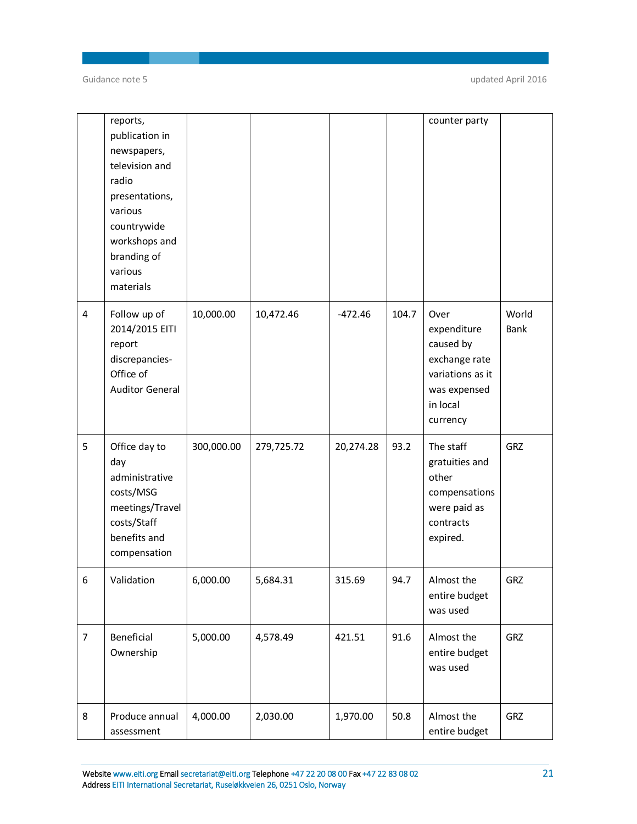|                | reports,<br>publication in<br>newspapers,<br>television and<br>radio<br>presentations,<br>various<br>countrywide<br>workshops and<br>branding of<br>various<br>materials |            |            |           |       | counter party                                                                                                 |               |
|----------------|--------------------------------------------------------------------------------------------------------------------------------------------------------------------------|------------|------------|-----------|-------|---------------------------------------------------------------------------------------------------------------|---------------|
| $\overline{4}$ | Follow up of<br>2014/2015 EITI<br>report<br>discrepancies-<br>Office of<br><b>Auditor General</b>                                                                        | 10,000.00  | 10,472.46  | $-472.46$ | 104.7 | Over<br>expenditure<br>caused by<br>exchange rate<br>variations as it<br>was expensed<br>in local<br>currency | World<br>Bank |
| 5              | Office day to<br>day<br>administrative<br>costs/MSG<br>meetings/Travel<br>costs/Staff<br>benefits and<br>compensation                                                    | 300,000.00 | 279,725.72 | 20,274.28 | 93.2  | The staff<br>gratuities and<br>other<br>compensations<br>were paid as<br>contracts<br>expired.                | GRZ           |
| 6              | Validation                                                                                                                                                               | 6,000.00   | 5,684.31   | 315.69    | 94.7  | Almost the<br>entire budget<br>was used                                                                       | GRZ           |
| $\overline{7}$ | Beneficial<br>Ownership                                                                                                                                                  | 5,000.00   | 4,578.49   | 421.51    | 91.6  | Almost the<br>entire budget<br>was used                                                                       | GRZ           |
| 8              | Produce annual<br>assessment                                                                                                                                             | 4,000.00   | 2,030.00   | 1,970.00  | 50.8  | Almost the<br>entire budget                                                                                   | GRZ           |

**Website [www.eiti.org](http://www.eiti.org) Email [secretariat@eiti.org](mailto:secretariat@eiti.org) Telephone +47 22 20 08 00 Fax +47 22 83 08 02 21 Address EITI International Secretariat, Ruseløkkveien 26, 0251 Oslo, Norway**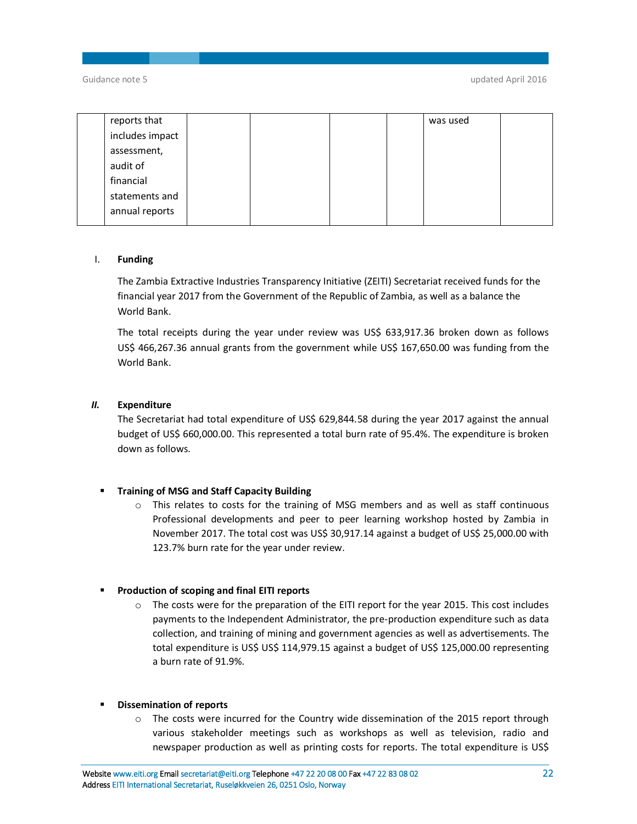| reports that    |  |  | was used |  |
|-----------------|--|--|----------|--|
| includes impact |  |  |          |  |
| assessment,     |  |  |          |  |
| audit of        |  |  |          |  |
| financial       |  |  |          |  |
| statements and  |  |  |          |  |
| annual reports  |  |  |          |  |
|                 |  |  |          |  |

## I. **Funding**

The Zambia Extractive Industries Transparency Initiative (ZEITI) Secretariat received funds for the financial year 2017 from the Government of the Republic of Zambia, as well as a balance the World Bank.

The total receipts during the year under review was US\$ 633,917.36 broken down as follows US\$ 466,267.36 annual grants from the government while US\$ 167,650.00 was funding from the World Bank.

## *II.* **Expenditure**

The Secretariat had total expenditure of US\$ 629,844.58 during the year 2017 against the annual budget of US\$ 660,000.00. This represented a total burn rate of 95.4%. The expenditure is broken down as follows.

## **Training of MSG and Staff Capacity Building**

 $\circ$  This relates to costs for the training of MSG members and as well as staff continuous Professional developments and peer to peer learning workshop hosted by Zambia in November 2017. The total cost was US\$ 30,917.14 against a budget of US\$ 25,000.00 with 123.7% burn rate for the year under review.

## **Production of scoping and final EITI reports**

 $\circ$  The costs were for the preparation of the EITI report for the year 2015. This cost includes payments to the Independent Administrator, the pre-production expenditure such as data collection, and training of mining and government agencies as well as advertisements. The total expenditure is US\$ US\$ 114,979.15 against a budget of US\$ 125,000.00 representing a burn rate of 91.9%.

## **Dissemination of reports**

o The costs were incurred for the Country wide dissemination of the 2015 report through various stakeholder meetings such as workshops as well as television, radio and newspaper production as well as printing costs for reports. The total expenditure is US\$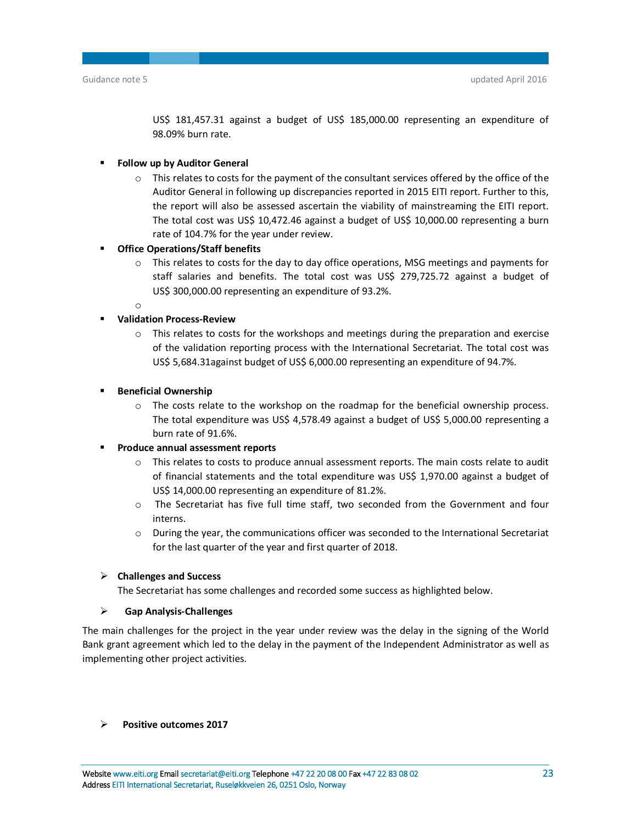US\$ 181,457.31 against a budget of US\$ 185,000.00 representing an expenditure of 98.09% burn rate.

- **Follow up by Auditor General**
	- $\circ$  This relates to costs for the payment of the consultant services offered by the office of the Auditor General in following up discrepancies reported in 2015 EITI report. Further to this, the report will also be assessed ascertain the viability of mainstreaming the EITI report. The total cost was US\$ 10,472.46 against a budget of US\$ 10,000.00 representing a burn rate of 104.7% for the year under review.
- **Office Operations/Staff benefits**
	- $\circ$  This relates to costs for the day to day office operations, MSG meetings and payments for staff salaries and benefits. The total cost was US\$ 279,725.72 against a budget of US\$ 300,000.00 representing an expenditure of 93.2%.
	- o

## **Validation Process-Review**

- $\circ$  This relates to costs for the workshops and meetings during the preparation and exercise of the validation reporting process with the International Secretariat. The total cost was US\$ 5,684.31against budget of US\$ 6,000.00 representing an expenditure of 94.7%.
- **Beneficial Ownership** 
	- $\circ$  The costs relate to the workshop on the roadmap for the beneficial ownership process. The total expenditure was US\$ 4,578.49 against a budget of US\$ 5,000.00 representing a burn rate of 91.6%.

## **Produce annual assessment reports**

- o This relates to costs to produce annual assessment reports. The main costs relate to audit of financial statements and the total expenditure was US\$ 1,970.00 against a budget of US\$ 14,000.00 representing an expenditure of 81.2%.
- o The Secretariat has five full time staff, two seconded from the Government and four interns.
- o During the year, the communications officer was seconded to the International Secretariat for the last quarter of the year and first quarter of 2018.

## **Challenges and Success**

The Secretariat has some challenges and recorded some success as highlighted below.

## **Gap Analysis-Challenges**

The main challenges for the project in the year under review was the delay in the signing of the World Bank grant agreement which led to the delay in the payment of the Independent Administrator as well as implementing other project activities.

 **Positive outcomes 2017**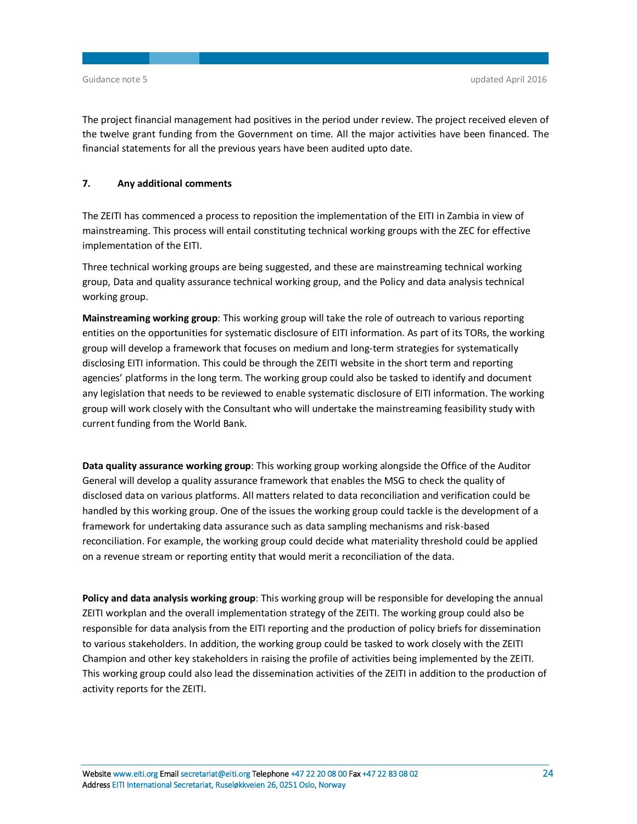The project financial management had positives in the period under review. The project received eleven of the twelve grant funding from the Government on time. All the major activities have been financed. The financial statements for all the previous years have been audited upto date.

## **7. Any additional comments**

The ZEITI has commenced a process to reposition the implementation of the EITI in Zambia in view of mainstreaming. This process will entail constituting technical working groups with the ZEC for effective implementation of the EITI.

Three technical working groups are being suggested, and these are mainstreaming technical working group, Data and quality assurance technical working group, and the Policy and data analysis technical working group.

**Mainstreaming working group**: This working group will take the role of outreach to various reporting entities on the opportunities for systematic disclosure of EITI information. As part of its TORs, the working group will develop a framework that focuses on medium and long-term strategies for systematically disclosing EITI information. This could be through the ZEITI website in the short term and reporting agencies' platforms in the long term. The working group could also be tasked to identify and document any legislation that needs to be reviewed to enable systematic disclosure of EITI information. The working group will work closely with the Consultant who will undertake the mainstreaming feasibility study with current funding from the World Bank.

**Data quality assurance working group**: This working group working alongside the Office of the Auditor General will develop a quality assurance framework that enables the MSG to check the quality of disclosed data on various platforms. All matters related to data reconciliation and verification could be handled by this working group. One of the issues the working group could tackle is the development of a framework for undertaking data assurance such as data sampling mechanisms and risk-based reconciliation. For example, the working group could decide what materiality threshold could be applied on a revenue stream or reporting entity that would merit a reconciliation of the data.

**Policy and data analysis working group**: This working group will be responsible for developing the annual ZEITI workplan and the overall implementation strategy of the ZEITI. The working group could also be responsible for data analysis from the EITI reporting and the production of policy briefs for dissemination to various stakeholders. In addition, the working group could be tasked to work closely with the ZEITI Champion and other key stakeholders in raising the profile of activities being implemented by the ZEITI. This working group could also lead the dissemination activities of the ZEITI in addition to the production of activity reports for the ZEITI.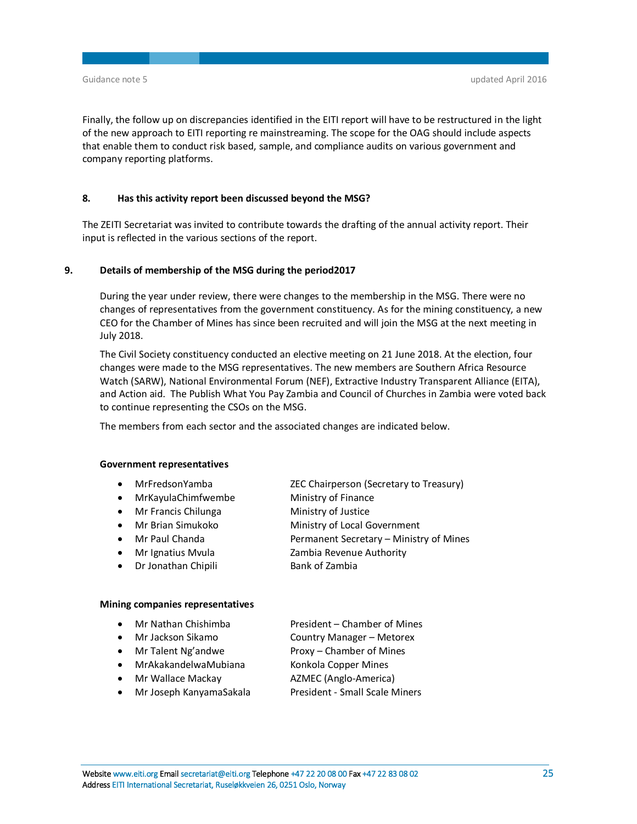Finally, the follow up on discrepancies identified in the EITI report will have to be restructured in the light of the new approach to EITI reporting re mainstreaming. The scope for the OAG should include aspects that enable them to conduct risk based, sample, and compliance audits on various government and company reporting platforms.

## **8. Has this activity report been discussed beyond the MSG?**

The ZEITI Secretariat was invited to contribute towards the drafting of the annual activity report. Their input is reflected in the various sections of the report.

## **9. Details of membership of the MSG during the period2017**

During the year under review, there were changes to the membership in the MSG. There were no changes of representatives from the government constituency. As for the mining constituency, a new CEO for the Chamber of Mines has since been recruited and will join the MSG at the next meeting in July 2018.

The Civil Society constituency conducted an elective meeting on 21 June 2018. At the election, four changes were made to the MSG representatives. The new members are Southern Africa Resource Watch (SARW), National Environmental Forum (NEF), Extractive Industry Transparent Alliance (EITA), and Action aid. The Publish What You Pay Zambia and Council of Churches in Zambia were voted back to continue representing the CSOs on the MSG.

The members from each sector and the associated changes are indicated below.

#### **Government representatives**

- MrFredsonYamba ZEC Chairperson (Secretary to Treasury)
- MrKayulaChimfwembe Ministry of Finance
- Mr Francis Chilunga Ministry of Justice
- Mr Brian Simukoko Ministry of Local Government
- - Mr Paul Chanda Permanent Secretary Ministry of Mines
- Mr Ignatius Mvula Zambia Revenue Authority • Dr Jonathan Chipili Bank of Zambia

## **Mining companies representatives**

- Mr Nathan Chishimba President Chamber of Mines
- 
- Mr Jackson Sikamo Country Manager Metorex
	- Mr Talent Ng'andwe Proxy Chamber of Mines
- MrAkakandelwaMubiana Konkola Copper Mines
	- Mr Wallace Mackay **AZMEC** (Anglo-America)
- -
- Mr Joseph KanyamaSakala President Small Scale Miners